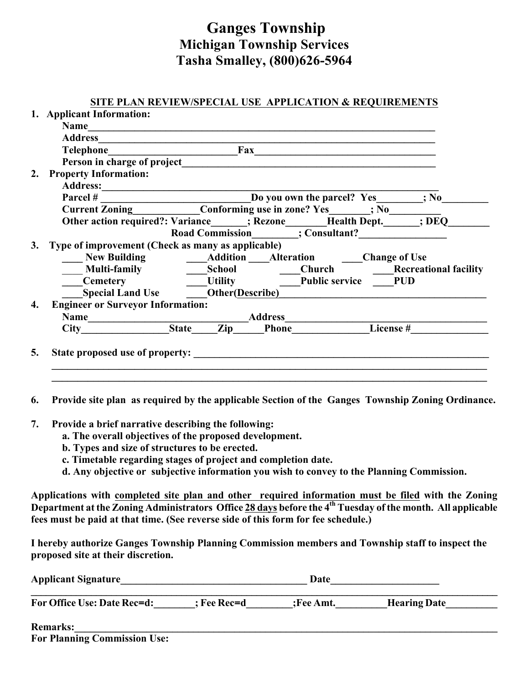## **Ganges Township Michigan Township Services Tasha Smalley, (800)626-5964**

## **SITE PLAN REVIEW/SPECIAL USE APPLICATION & REQUIREMENTS**

|    | 1. Applicant Information:                                                                                                                                                                                                      |  |                                                                          |  |  |
|----|--------------------------------------------------------------------------------------------------------------------------------------------------------------------------------------------------------------------------------|--|--------------------------------------------------------------------------|--|--|
|    | Name                                                                                                                                                                                                                           |  |                                                                          |  |  |
|    |                                                                                                                                                                                                                                |  |                                                                          |  |  |
|    |                                                                                                                                                                                                                                |  |                                                                          |  |  |
|    | Person in charge of project                                                                                                                                                                                                    |  | <u> 1980 - Jan Samuel Barbara, margaret e</u>                            |  |  |
| 2. | <b>Property Information:</b>                                                                                                                                                                                                   |  |                                                                          |  |  |
|    |                                                                                                                                                                                                                                |  |                                                                          |  |  |
|    |                                                                                                                                                                                                                                |  |                                                                          |  |  |
|    |                                                                                                                                                                                                                                |  |                                                                          |  |  |
|    |                                                                                                                                                                                                                                |  | Other action required?: Variance_____; Rezone_____Health Dept._____; DEQ |  |  |
|    |                                                                                                                                                                                                                                |  | Road Commission ; Consultant?                                            |  |  |
| 3. | Type of improvement (Check as many as applicable)                                                                                                                                                                              |  |                                                                          |  |  |
|    |                                                                                                                                                                                                                                |  | New Building <b>Manufacture Addition</b> Alteration <b>Change of Use</b> |  |  |
|    |                                                                                                                                                                                                                                |  |                                                                          |  |  |
|    | <b>Cemetery</b>                                                                                                                                                                                                                |  | Utility Public service PUD                                               |  |  |
|    |                                                                                                                                                                                                                                |  | Special Land Use Other (Describe)                                        |  |  |
| 4. | <b>Engineer or Surveyor Information:</b>                                                                                                                                                                                       |  |                                                                          |  |  |
|    | Name Manne City Manne Manne City Manne Manne Manne Manne Manne Manne Manne Manne Manne Manne Manne Manne Manne Manne Manne Manne Manne Manne Manne Manne Manne Manne Manne Manne Manne Manne Manne Manne Manne Manne Manne Man |  |                                                                          |  |  |
|    |                                                                                                                                                                                                                                |  |                                                                          |  |  |
|    |                                                                                                                                                                                                                                |  |                                                                          |  |  |
| 5. | State proposed use of property:                                                                                                                                                                                                |  |                                                                          |  |  |
|    |                                                                                                                                                                                                                                |  |                                                                          |  |  |
|    |                                                                                                                                                                                                                                |  |                                                                          |  |  |

**6. Provide site plan as required by the applicable Section of the Ganges Township Zoning Ordinance.**

- **7. Provide a brief narrative describing the following:**
	- **a. The overall objectives of the proposed development.**
	- **b. Types and size of structures to be erected.**
	- **c. Timetable regarding stages of project and completion date.**
	- **d. Any objective or subjective information you wish to convey to the Planning Commission.**

**Applications with completed site plan and other required information must be filed with the Zoning Department at the Zoning Administrators Office 28 days before the 4th Tuesday of the month. All applicable fees must be paid at that time. (See reverse side of this form for fee schedule.)**

**I hereby authorize Ganges Township Planning Commission members and Township staff to inspect the proposed site at their discretion.**

| <b>Applicant Signature</b>                                  | Date          |           |                     |
|-------------------------------------------------------------|---------------|-----------|---------------------|
| <b>For Office Use: Date Rec=d:</b>                          | $;$ Fee Rec=d | :Fee Amt. | <b>Hearing Date</b> |
| <b>Remarks:</b><br>$\sim$<br>T<br>$\mathbf{r}$ $\mathbf{r}$ |               |           |                     |

|  | <b>For Planning Commission Use:</b> |  |
|--|-------------------------------------|--|
|  |                                     |  |